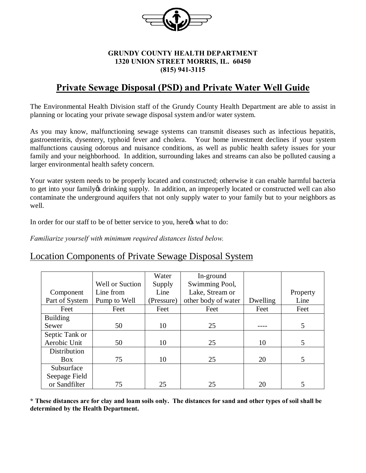

#### **GRUNDY COUNTY HEALTH DEPARTMENT 1320 UNION STREET MORRIS, IL. 60450 (815) 941-3115**

# **Private Sewage Disposal (PSD) and Private Water Well Guide**

The Environmental Health Division staff of the Grundy County Health Department are able to assist in planning or locating your private sewage disposal system and/or water system.

As you may know, malfunctioning sewage systems can transmit diseases such as infectious hepatitis, gastroenteritis, dysentery, typhoid fever and cholera. Your home investment declines if your system malfunctions causing odorous and nuisance conditions, as well as public health safety issues for your family and your neighborhood. In addition, surrounding lakes and streams can also be polluted causing a larger environmental health safety concern.

Your water system needs to be properly located and constructed; otherwise it can enable harmful bacteria to get into your family os drinking supply. In addition, an improperly located or constructed well can also contaminate the underground aquifers that not only supply water to your family but to your neighbors as well.

In order for our staff to be of better service to you, here  $\alpha$  what to do:

*Familiarize yourself with minimum required distances listed below.*

#### Location Components of Private Sewage Disposal System

|                 |                        | Water      | In-ground           |          |          |
|-----------------|------------------------|------------|---------------------|----------|----------|
|                 | <b>Well or Suction</b> | Supply     | Swimming Pool,      |          |          |
| Component       | Line from              | Line       | Lake, Stream or     |          | Property |
| Part of System  | Pump to Well           | (Pressure) | other body of water | Dwelling | Line     |
| Feet            | Feet                   | Feet       | Feet                | Feet     | Feet     |
| <b>Building</b> |                        |            |                     |          |          |
| Sewer           | 50                     | 10         | 25                  |          | 5        |
| Septic Tank or  |                        |            |                     |          |          |
| Aerobic Unit    | 50                     | 10         | 25                  | 10       | 5        |
| Distribution    |                        |            |                     |          |          |
| <b>Box</b>      | 75                     | 10         | 25                  | 20       | 5        |
| Subsurface      |                        |            |                     |          |          |
| Seepage Field   |                        |            |                     |          |          |
| or Sandfilter   | 75                     | 25         | 25                  | 20       |          |

**\* These distances are for clay and loam soils only. The distances for sand and other types of soil shall be determined by the Health Department.**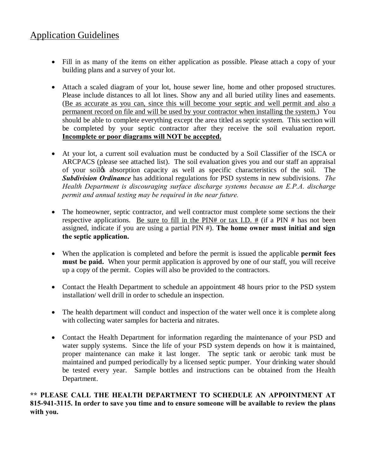## Application Guidelines

- Fill in as many of the items on either application as possible. Please attach a copy of your building plans and a survey of your lot.
- · Attach a scaled diagram of your lot, house sewer line, home and other proposed structures. Please include distances to all lot lines. Show any and all buried utility lines and easements. (Be as accurate as you can, since this will become your septic and well permit and also a permanent record on file and will be used by your contractor when installing the system.) You should be able to complete everything except the area titled as septic system. This section will be completed by your septic contractor after they receive the soil evaluation report. **Incomplete or poor diagrams will NOT be accepted.**
- · At your lot, a current soil evaluation must be conducted by a Soil Classifier of the ISCA or ARCPACS (please see attached list). The soil evaluation gives you and our staff an appraisal of your soil to absorption capacity as well as specific characteristics of the soil. The *Subdivision Ordinance* has additional regulations for PSD systems in new subdivisions. *The Health Department is discouraging surface discharge systems because an E.P.A. discharge permit and annual testing may be required in the near future.*
- The homeowner, septic contractor, and well contractor must complete some sections the their respective applications. Be sure to fill in the PIN# or tax I.D.  $#$  (if a PIN  $#$  has not been assigned, indicate if you are using a partial PIN #). **The home owner must initial and sign the septic application.**
- · When the application is completed and before the permit is issued the applicable **permit fees must be paid.** When your permit application is approved by one of our staff, you will receive up a copy of the permit. Copies will also be provided to the contractors.
- Contact the Health Department to schedule an appointment 48 hours prior to the PSD system installation/ well drill in order to schedule an inspection.
- The health department will conduct and inspection of the water well once it is complete along with collecting water samples for bacteria and nitrates.
- Contact the Health Department for information regarding the maintenance of your PSD and water supply systems. Since the life of your PSD system depends on how it is maintained, proper maintenance can make it last longer. The septic tank or aerobic tank must be maintained and pumped periodically by a licensed septic pumper. Your drinking water should be tested every year. Sample bottles and instructions can be obtained from the Health Department.

#### **\*\* PLEASE CALL THE HEALTH DEPARTMENT TO SCHEDULE AN APPOINTMENT AT 815-941-3115. In order to save you time and to ensure someone will be available to review the plans with you.**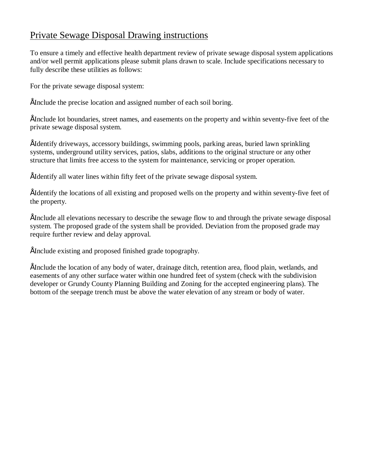## Private Sewage Disposal Drawing instructions

To ensure a timely and effective health department review of private sewage disposal system applications and/or well permit applications please submit plans drawn to scale. Include specifications necessary to fully describe these utilities as follows:

For the private sewage disposal system:

• Include the precise location and assigned number of each soil boring.

• Include lot boundaries, street names, and easements on the property and within seventy-five feet of the private sewage disposal system.

• Identify driveways, accessory buildings, swimming pools, parking areas, buried lawn sprinkling systems, underground utility services, patios, slabs, additions to the original structure or any other structure that limits free access to the system for maintenance, servicing or proper operation.

• Identify all water lines within fifty feet of the private sewage disposal system.

• Identify the locations of all existing and proposed wells on the property and within seventy-five feet of the property.

• Include all elevations necessary to describe the sewage flow to and through the private sewage disposal system. The proposed grade of the system shall be provided. Deviation from the proposed grade may require further review and delay approval.

• Include existing and proposed finished grade topography.

• Include the location of any body of water, drainage ditch, retention area, flood plain, wetlands, and easements of any other surface water within one hundred feet of system (check with the subdivision developer or Grundy County Planning Building and Zoning for the accepted engineering plans). The bottom of the seepage trench must be above the water elevation of any stream or body of water.